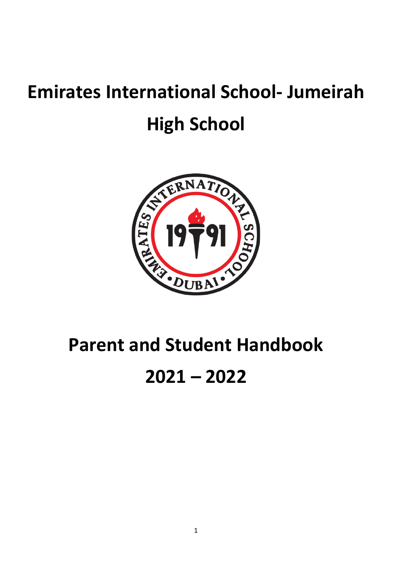# **Emirates International School- Jumeirah High School**



# **Parent and Student Handbook 2021 – 2022**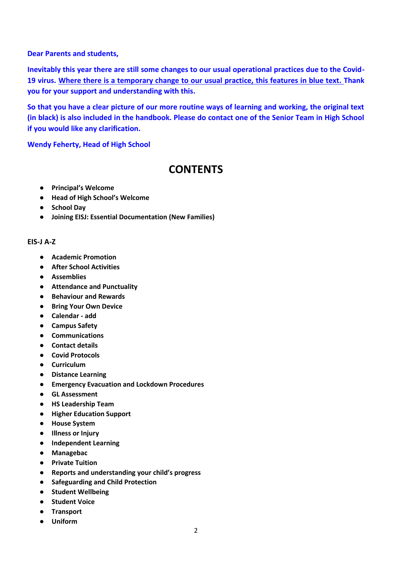#### **Dear Parents and students,**

**Inevitably this year there are still some changes to our usual operational practices due to the Covid-19 virus. Where there is a temporary change to our usual practice, this features in blue text. Thank you for your support and understanding with this.**

**So that you have a clear picture of our more routine ways of learning and working, the original text (in black) is also included in the handbook. Please do contact one of the Senior Team in High School if you would like any clarification.** 

**Wendy Feherty, Head of High School** 

# **CONTENTS**

- **Principal's Welcome**
- **Head of High School's Welcome**
- **School Day**
- **Joining EISJ: Essential Documentation (New Families)**

#### **EIS-J A-Z**

- **Academic Promotion**
- **After School Activities**
- **Assemblies**
- **Attendance and Punctuality**
- **Behaviour and Rewards**
- **Bring Your Own Device**
- **Calendar - add**
- **Campus Safety**
- **Communications**
- **Contact details**
- **Covid Protocols**
- **Curriculum**
- **Distance Learning**
- **Emergency Evacuation and Lockdown Procedures**
- **GL Assessment**
- **HS Leadership Team**
- **Higher Education Support**
- **House System**
- **Illness or Injury**
- **Independent Learning**
- **Managebac**
- **Private Tuition**
- **Reports and understanding your child's progress**
- **Safeguarding and Child Protection**
- **Student Wellbeing**
- **Student Voice**
- **Transport**
- **Uniform**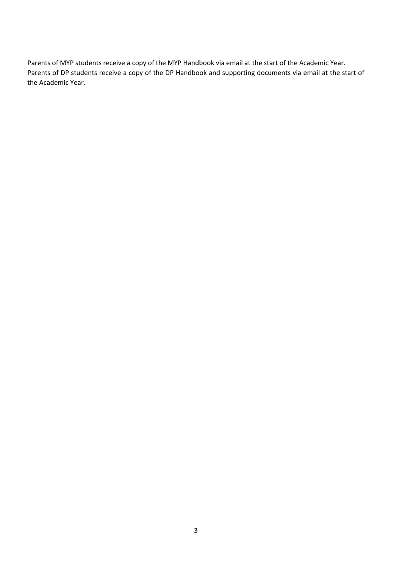Parents of MYP students receive a copy of the MYP Handbook via email at the start of the Academic Year. Parents of DP students receive a copy of the DP Handbook and supporting documents via email at the start of the Academic Year.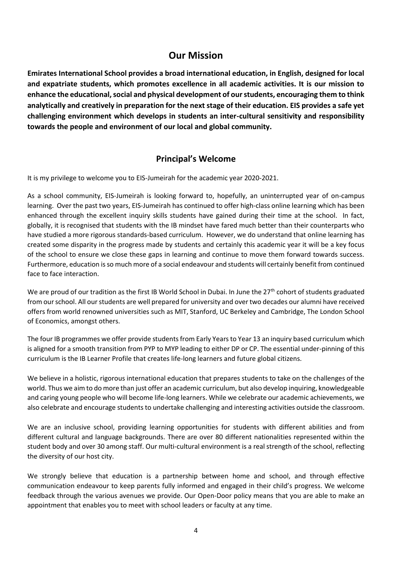# **Our Mission**

**Emirates International School provides a broad international education, in English, designed for local and expatriate students, which promotes excellence in all academic activities. It is our mission to enhance the educational, social and physical development of our students, encouraging them to think analytically and creatively in preparation for the next stage of their education. EIS provides a safe yet challenging environment which develops in students an inter-cultural sensitivity and responsibility towards the people and environment of our local and global community.**

# **Principal's Welcome**

It is my privilege to welcome you to EIS-Jumeirah for the academic year 2020-2021.

As a school community, EIS-Jumeirah is looking forward to, hopefully, an uninterrupted year of on-campus learning. Over the past two years, EIS-Jumeirah has continued to offer high-class online learning which has been enhanced through the excellent inquiry skills students have gained during their time at the school. In fact, globally, it is recognised that students with the IB mindset have fared much better than their counterparts who have studied a more rigorous standards-based curriculum. However, we do understand that online learning has created some disparity in the progress made by students and certainly this academic year it will be a key focus of the school to ensure we close these gaps in learning and continue to move them forward towards success. Furthermore, education is so much more of a social endeavour and students will certainly benefit from continued face to face interaction.

We are proud of our tradition as the first IB World School in Dubai. In June the  $27<sup>th</sup>$  cohort of students graduated from our school. All our students are well prepared for university and over two decades our alumni have received offers from world renowned universities such as MIT, Stanford, UC Berkeley and Cambridge, The London School of Economics, amongst others.

The four IB programmes we offer provide students from Early Years to Year 13 an inquiry based curriculum which is aligned for a smooth transition from PYP to MYP leading to either DP or CP. The essential under-pinning of this curriculum is the IB Learner Profile that creates life-long learners and future global citizens.

We believe in a holistic, rigorous international education that prepares students to take on the challenges of the world. Thus we aim to do more than just offer an academic curriculum, but also develop inquiring, knowledgeable and caring young people who will become life-long learners. While we celebrate our academic achievements, we also celebrate and encourage students to undertake challenging and interesting activities outside the classroom.

We are an inclusive school, providing learning opportunities for students with different abilities and from different cultural and language backgrounds. There are over 80 different nationalities represented within the student body and over 30 among staff. Our multi-cultural environment is a real strength of the school, reflecting the diversity of our host city.

We strongly believe that education is a partnership between home and school, and through effective communication endeavour to keep parents fully informed and engaged in their child's progress. We welcome feedback through the various avenues we provide. Our Open-Door policy means that you are able to make an appointment that enables you to meet with school leaders or faculty at any time.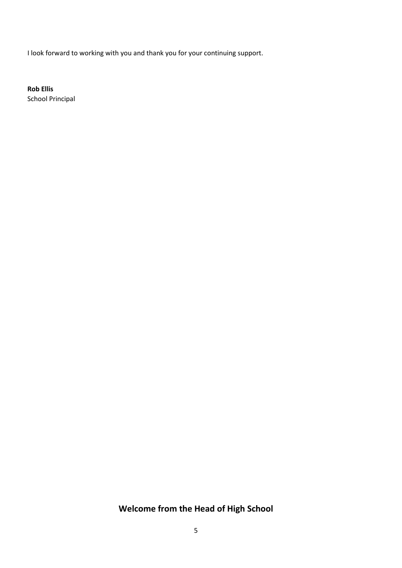I look forward to working with you and thank you for your continuing support.

**Rob Ellis** School Principal

# **Welcome from the Head of High School**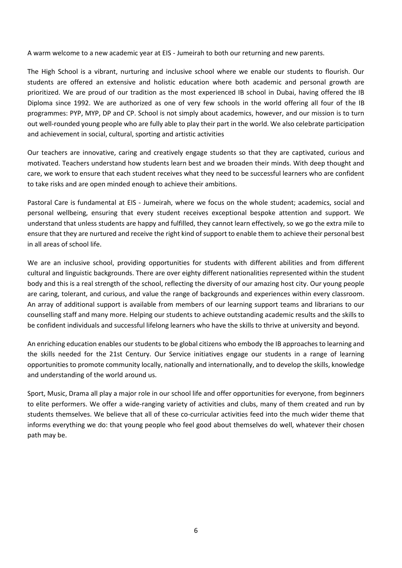A warm welcome to a new academic year at EIS - Jumeirah to both our returning and new parents.

The High School is a vibrant, nurturing and inclusive school where we enable our students to flourish. Our students are offered an extensive and holistic education where both academic and personal growth are prioritized. We are proud of our tradition as the most experienced IB school in Dubai, having offered the IB Diploma since 1992. We are authorized as one of very few schools in the world offering all four of the IB programmes: PYP, MYP, DP and CP. School is not simply about academics, however, and our mission is to turn out well-rounded young people who are fully able to play their part in the world. We also celebrate participation and achievement in social, cultural, sporting and artistic activities

Our teachers are innovative, caring and creatively engage students so that they are captivated, curious and motivated. Teachers understand how students learn best and we broaden their minds. With deep thought and care, we work to ensure that each student receives what they need to be successful learners who are confident to take risks and are open minded enough to achieve their ambitions.

Pastoral Care is fundamental at EIS - Jumeirah, where we focus on the whole student; academics, social and personal wellbeing, ensuring that every student receives exceptional bespoke attention and support. We understand that unless students are happy and fulfilled, they cannot learn effectively, so we go the extra mile to ensure that they are nurtured and receive the right kind of support to enable them to achieve their personal best in all areas of school life.

We are an inclusive school, providing opportunities for students with different abilities and from different cultural and linguistic backgrounds. There are over eighty different nationalities represented within the student body and this is a real strength of the school, reflecting the diversity of our amazing host city. Our young people are caring, tolerant, and curious, and value the range of backgrounds and experiences within every classroom. An array of additional support is available from members of our learning support teams and librarians to our counselling staff and many more. Helping our students to achieve outstanding academic results and the skills to be confident individuals and successful lifelong learners who have the skills to thrive at university and beyond.

An enriching education enables our students to be global citizens who embody the IB approaches to learning and the skills needed for the 21st Century. Our Service initiatives engage our students in a range of learning opportunities to promote community locally, nationally and internationally, and to develop the skills, knowledge and understanding of the world around us.

Sport, Music, Drama all play a major role in our school life and offer opportunities for everyone, from beginners to elite performers. We offer a wide-ranging variety of activities and clubs, many of them created and run by students themselves. We believe that all of these co-curricular activities feed into the much wider theme that informs everything we do: that young people who feel good about themselves do well, whatever their chosen path may be.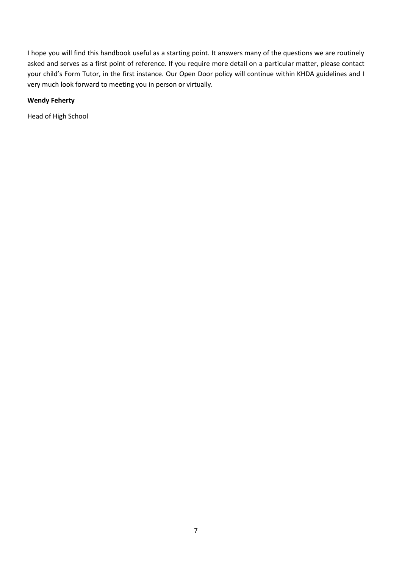I hope you will find this handbook useful as a starting point. It answers many of the questions we are routinely asked and serves as a first point of reference. If you require more detail on a particular matter, please contact your child's Form Tutor, in the first instance. Our Open Door policy will continue within KHDA guidelines and I very much look forward to meeting you in person or virtually.

#### **Wendy Feherty**

Head of High School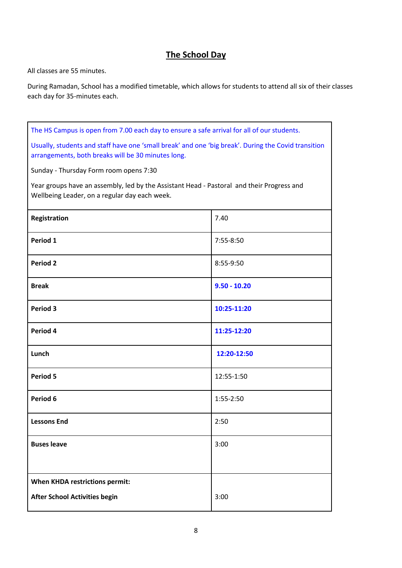# **The School Day**

All classes are 55 minutes.

During Ramadan, School has a modified timetable, which allows for students to attend all six of their classes each day for 35-minutes each.

| The HS Campus is open from 7.00 each day to ensure a safe arrival for all of our students.                                                                |                |  |
|-----------------------------------------------------------------------------------------------------------------------------------------------------------|----------------|--|
| Usually, students and staff have one 'small break' and one 'big break'. During the Covid transition<br>arrangements, both breaks will be 30 minutes long. |                |  |
| Sunday - Thursday Form room opens 7:30                                                                                                                    |                |  |
| Year groups have an assembly, led by the Assistant Head - Pastoral and their Progress and<br>Wellbeing Leader, on a regular day each week.                |                |  |
| Registration                                                                                                                                              | 7.40           |  |
| Period 1                                                                                                                                                  | 7:55-8:50      |  |
| <b>Period 2</b>                                                                                                                                           | 8:55-9:50      |  |
| <b>Break</b>                                                                                                                                              | $9.50 - 10.20$ |  |
| Period 3                                                                                                                                                  | 10:25-11:20    |  |
| Period 4                                                                                                                                                  | 11:25-12:20    |  |
| Lunch                                                                                                                                                     | 12:20-12:50    |  |
| Period 5                                                                                                                                                  | 12:55-1:50     |  |
| Period 6                                                                                                                                                  | 1:55-2:50      |  |
| <b>Lessons End</b>                                                                                                                                        | 2:50           |  |
| <b>Buses leave</b>                                                                                                                                        | 3:00           |  |
|                                                                                                                                                           |                |  |
| <b>When KHDA restrictions permit:</b>                                                                                                                     |                |  |
| <b>After School Activities begin</b>                                                                                                                      | 3:00           |  |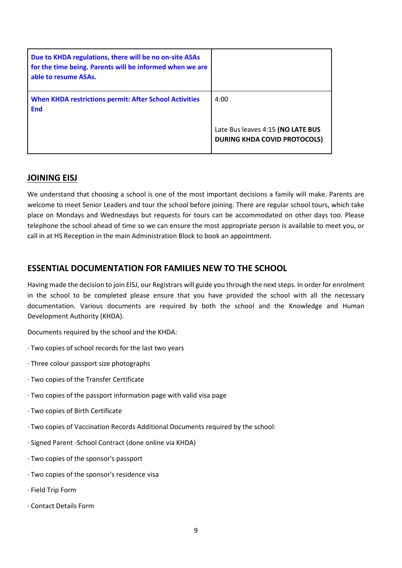| Due to KHDA regulations, there will be no on-site ASAs<br>for the time being. Parents will be informed when we are<br>able to resume ASAs. |                                                                          |
|--------------------------------------------------------------------------------------------------------------------------------------------|--------------------------------------------------------------------------|
| <b>When KHDA restrictions permit: After School Activities</b><br><b>End</b>                                                                | 4:00                                                                     |
|                                                                                                                                            | Late Bus leaves 4:15 (NO LATE BUS<br><b>DURING KHDA COVID PROTOCOLS)</b> |

### **JOINING EISJ**

We understand that choosing a school is one of the most important decisions a family will make. Parents are welcome to meet Senior Leaders and tour the school before joining. There are regular school tours, which take place on Mondays and Wednesdays but requests for tours can be accommodated on other days too. Please telephone the school ahead of time so we can ensure the most appropriate person is available to meet you, or call in at HS Reception in the main Administration Block to book an appointment.

# **ESSENTIAL DOCUMENTATION FOR FAMILIES NEW TO THE SCHOOL**

Having made the decision to join EISJ, our Registrars will guide you through the next steps. In order for enrolment in the school to be completed please ensure that you have provided the school with all the necessary documentation. Various documents are required by both the school and the Knowledge and Human Development Authority (KHDA).

Documents required by the school and the KHDA:

- ∙ Two copies of school records for the last two years
- ∙ Three colour passport size photographs
- ∙ Two copies of the Transfer Certificate
- ∙ Two copies of the passport information page with valid visa page
- ∙ Two copies of Birth Certificate
- ∙ Two copies of Vaccination Records Additional Documents required by the school:
- ∙ Signed Parent -School Contract (done online via KHDA)
- ∙ Two copies of the sponsor's passport
- ∙ Two copies of the sponsor's residence visa
- ∙ Field Trip Form
- ∙ Contact Details Form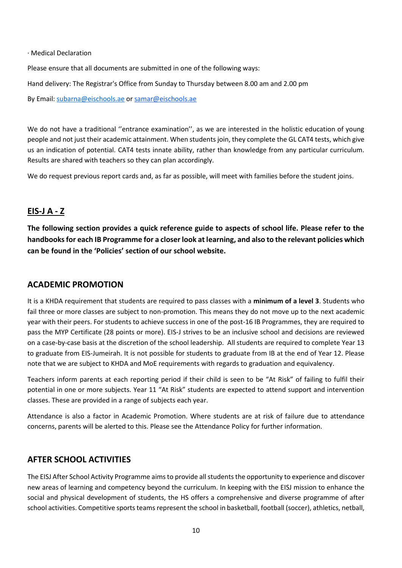∙ Medical Declaration

Please ensure that all documents are submitted in one of the following ways:

Hand delivery: The Registrar's Office from Sunday to Thursday between 8.00 am and 2.00 pm

By Email: [subarna@eischools.ae](mailto:subarna@eischools.ae) or [samar@eischools.ae](mailto:samar@eischools.ae)

We do not have a traditional "entrance examination", as we are interested in the holistic education of young people and not just their academic attainment. When students join, they complete the GL CAT4 tests, which give us an indication of potential. CAT4 tests innate ability, rather than knowledge from any particular curriculum. Results are shared with teachers so they can plan accordingly.

We do request previous report cards and, as far as possible, will meet with families before the student joins.

# **EIS-J A - Z**

**The following section provides a quick reference guide to aspects of school life. Please refer to the handbooks for each IB Programme for a closer look at learning, and also to the relevant policies which can be found in the 'Policies' section of our school website.**

#### **ACADEMIC PROMOTION**

It is a KHDA requirement that students are required to pass classes with a **minimum of a level 3**. Students who fail three or more classes are subject to non-promotion. This means they do not move up to the next academic year with their peers. For students to achieve success in one of the post-16 IB Programmes, they are required to pass the MYP Certificate (28 points or more). EIS-J strives to be an inclusive school and decisions are reviewed on a case-by-case basis at the discretion of the school leadership. All students are required to complete Year 13 to graduate from EIS-Jumeirah. It is not possible for students to graduate from IB at the end of Year 12. Please note that we are subject to KHDA and MoE requirements with regards to graduation and equivalency.

Teachers inform parents at each reporting period if their child is seen to be "At Risk" of failing to fulfil their potential in one or more subjects. Year 11 "At Risk" students are expected to attend support and intervention classes. These are provided in a range of subjects each year.

Attendance is also a factor in Academic Promotion. Where students are at risk of failure due to attendance concerns, parents will be alerted to this. Please see the Attendance Policy for further information.

# **AFTER SCHOOL ACTIVITIES**

The EISJ After School Activity Programme aims to provide all students the opportunity to experience and discover new areas of learning and competency beyond the curriculum. In keeping with the EISJ mission to enhance the social and physical development of students, the HS offers a comprehensive and diverse programme of after school activities. Competitive sports teams represent the school in basketball, football (soccer), athletics, netball,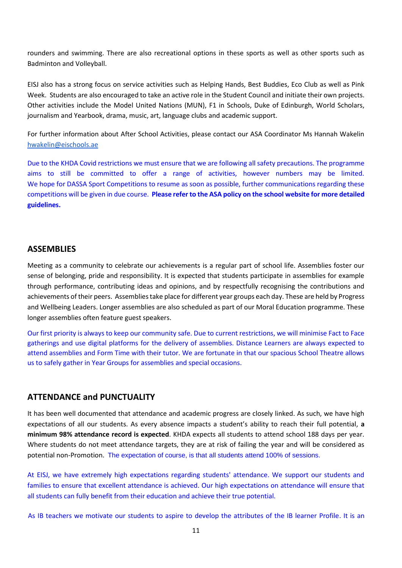rounders and swimming. There are also recreational options in these sports as well as other sports such as Badminton and Volleyball.

EISJ also has a strong focus on service activities such as Helping Hands, Best Buddies, Eco Club as well as Pink Week. Students are also encouraged to take an active role in the Student Council and initiate their own projects. Other activities include the Model United Nations (MUN), F1 in Schools, Duke of Edinburgh, World Scholars, journalism and Yearbook, drama, music, art, language clubs and academic support.

For further information about After School Activities, please contact our ASA Coordinator Ms Hannah Wakelin [hwakelin@eischools.ae](mailto:hwakelin@eischools.ae)

Due to the KHDA Covid restrictions we must ensure that we are following all safety precautions. The programme aims to still be committed to offer a range of activities, however numbers may be limited. We hope for DASSA Sport Competitions to resume as soon as possible, further communications regarding these competitions will be given in due course. **Please refer to the ASA policy on the school website for more detailed guidelines.**

#### **ASSEMBLIES**

Meeting as a community to celebrate our achievements is a regular part of school life. Assemblies foster our sense of belonging, pride and responsibility. It is expected that students participate in assemblies for example through performance, contributing ideas and opinions, and by respectfully recognising the contributions and achievements of their peers. Assemblies take place for different year groups each day. These are held by Progress and Wellbeing Leaders. Longer assemblies are also scheduled as part of our Moral Education programme. These longer assemblies often feature guest speakers.

Our first priority is always to keep our community safe. Due to current restrictions, we will minimise Fact to Face gatherings and use digital platforms for the delivery of assemblies. Distance Learners are always expected to attend assemblies and Form Time with their tutor. We are fortunate in that our spacious School Theatre allows us to safely gather in Year Groups for assemblies and special occasions.

#### **ATTENDANCE and PUNCTUALITY**

It has been well documented that attendance and academic progress are closely linked. As such, we have high expectations of all our students. As every absence impacts a student's ability to reach their full potential, **a minimum 98% attendance record is expected**. KHDA expects all students to attend school 188 days per year. Where students do not meet attendance targets, they are at risk of failing the year and will be considered as potential non-Promotion. The expectation of course, is that all students attend 100% of sessions.

At EISJ, we have extremely high expectations regarding students' attendance. We support our students and families to ensure that excellent attendance is achieved. Our high expectations on attendance will ensure that all students can fully benefit from their education and achieve their true potential.

As IB teachers we motivate our students to aspire to develop the attributes of the IB learner Profile. It is an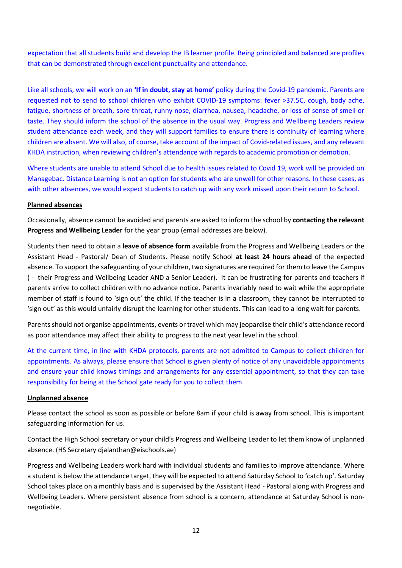expectation that all students build and develop the IB learner profile. Being principled and balanced are profiles that can be demonstrated through excellent punctuality and attendance.

Like all schools, we will work on an **'If in doubt, stay at home'** policy during the Covid-19 pandemic. Parents are requested not to send to school children who exhibit COVID-19 symptoms: fever >37.5C, cough, body ache, fatigue, shortness of breath, sore throat, runny nose, diarrhea, nausea, headache, or loss of sense of smell or taste. They should inform the school of the absence in the usual way. Progress and Wellbeing Leaders review student attendance each week, and they will support families to ensure there is continuity of learning where children are absent. We will also, of course, take account of the impact of Covid-related issues, and any relevant KHDA instruction, when reviewing children's attendance with regards to academic promotion or demotion.

Where students are unable to attend School due to health issues related to Covid 19, work will be provided on Managebac. Distance Learning is not an option for students who are unwell for other reasons. In these cases, as with other absences, we would expect students to catch up with any work missed upon their return to School.

#### **Planned absences**

Occasionally, absence cannot be avoided and parents are asked to inform the school by **contacting the relevant Progress and Wellbeing Leader** for the year group (email addresses are below).

Students then need to obtain a **leave of absence form** available from the Progress and Wellbeing Leaders or the Assistant Head - Pastoral/ Dean of Students. Please notify School **at least 24 hours ahead** of the expected absence. To support the safeguarding of your children, two signatures are required for them to leave the Campus ( - their Progress and Wellbeing Leader AND a Senior Leader). It can be frustrating for parents and teachers if parents arrive to collect children with no advance notice. Parents invariably need to wait while the appropriate member of staff is found to 'sign out' the child. If the teacher is in a classroom, they cannot be interrupted to 'sign out' as this would unfairly disrupt the learning for other students. This can lead to a long wait for parents.

Parents should not organise appointments, events or travel which may jeopardise their child's attendance record as poor attendance may affect their ability to progress to the next year level in the school.

At the current time, in line with KHDA protocols, parents are not admitted to Campus to collect children for appointments. As always, please ensure that School is given plenty of notice of any unavoidable appointments and ensure your child knows timings and arrangements for any essential appointment, so that they can take responsibility for being at the School gate ready for you to collect them.

#### **Unplanned absence**

Please contact the school as soon as possible or before 8am if your child is away from school. This is important safeguarding information for us.

Contact the High School secretary or your child's Progress and Wellbeing Leader to let them know of unplanned absence. (HS Secretary djalanthan@eischools.ae)

Progress and Wellbeing Leaders work hard with individual students and families to improve attendance. Where a student is below the attendance target, they will be expected to attend Saturday School to 'catch up'. Saturday School takes place on a monthly basis and is supervised by the Assistant Head - Pastoral along with Progress and Wellbeing Leaders. Where persistent absence from school is a concern, attendance at Saturday School is nonnegotiable.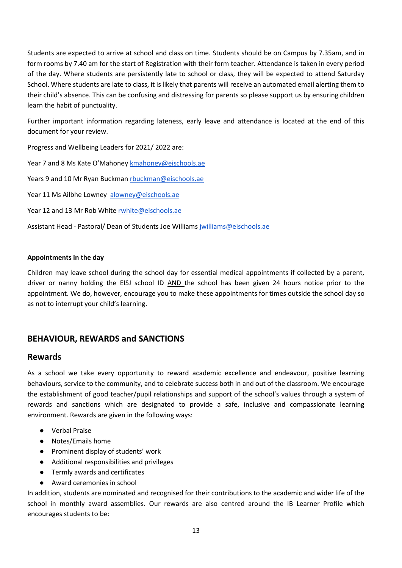Students are expected to arrive at school and class on time. Students should be on Campus by 7.35am, and in form rooms by 7.40 am for the start of Registration with their form teacher. Attendance is taken in every period of the day. Where students are persistently late to school or class, they will be expected to attend Saturday School. Where students are late to class, it is likely that parents will receive an automated email alerting them to their child's absence. This can be confusing and distressing for parents so please support us by ensuring children learn the habit of punctuality.

Further important information regarding lateness, early leave and attendance is located at the end of this document for your review.

Progress and Wellbeing Leaders for 2021/ 2022 are:

Year 7 and 8 Ms Kate O'Mahoney [kmahoney@eischools.ae](mailto:kmahoney@eischools.ae)

Years 9 and 10 Mr Ryan Buckman [rbuckman@eischools.ae](mailto:rbuckman@eischools.ae)

Year 11 Ms Ailbhe Lowney [alowney@eischools.ae](mailto:alowney@eischools.ae)

Year 12 and 13 Mr Rob White [rwhite@eischools.ae](mailto:rwhite@eischools.ae)

Assistant Head - Pastoral/ Dean of Students Joe William[s jwilliams@eischools.ae](mailto:jwilliams@eischools.ae)

#### **Appointments in the day**

Children may leave school during the school day for essential medical appointments if collected by a parent, driver or nanny holding the EISJ school ID AND the school has been given 24 hours notice prior to the appointment. We do, however, encourage you to make these appointments for times outside the school day so as not to interrupt your child's learning.

# **BEHAVIOUR, REWARDS and SANCTIONS**

#### **Rewards**

As a school we take every opportunity to reward academic excellence and endeavour, positive learning behaviours, service to the community, and to celebrate success both in and out of the classroom. We encourage the establishment of good teacher/pupil relationships and support of the school's values through a system of rewards and sanctions which are designated to provide a safe, inclusive and compassionate learning environment. Rewards are given in the following ways:

- Verbal Praise
- Notes/Emails home
- Prominent display of students' work
- Additional responsibilities and privileges
- Termly awards and certificates
- Award ceremonies in school

In addition, students are nominated and recognised for their contributions to the academic and wider life of the school in monthly award assemblies. Our rewards are also centred around the IB Learner Profile which encourages students to be: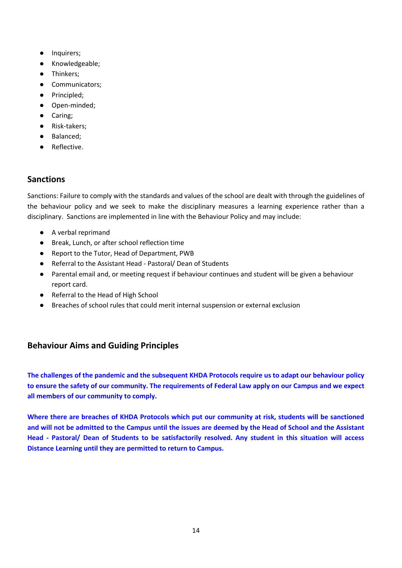- Inquirers;
- Knowledgeable;
- Thinkers;
- Communicators;
- Principled;
- Open-minded;
- Caring;
- Risk-takers;
- Balanced;
- Reflective.

# **Sanctions**

Sanctions: Failure to comply with the standards and values of the school are dealt with through the guidelines of the behaviour policy and we seek to make the disciplinary measures a learning experience rather than a disciplinary. Sanctions are implemented in line with the Behaviour Policy and may include:

- A verbal reprimand
- Break, Lunch, or after school reflection time
- Report to the Tutor, Head of Department, PWB
- Referral to the Assistant Head Pastoral/ Dean of Students
- Parental email and, or meeting request if behaviour continues and student will be given a behaviour report card.
- Referral to the Head of High School
- Breaches of school rules that could merit internal suspension or external exclusion

# **Behaviour Aims and Guiding Principles**

**The challenges of the pandemic and the subsequent KHDA Protocols require us to adapt our behaviour policy to ensure the safety of our community. The requirements of Federal Law apply on our Campus and we expect all members of our community to comply.** 

**Where there are breaches of KHDA Protocols which put our community at risk, students will be sanctioned and will not be admitted to the Campus until the issues are deemed by the Head of School and the Assistant Head - Pastoral/ Dean of Students to be satisfactorily resolved. Any student in this situation will access Distance Learning until they are permitted to return to Campus.**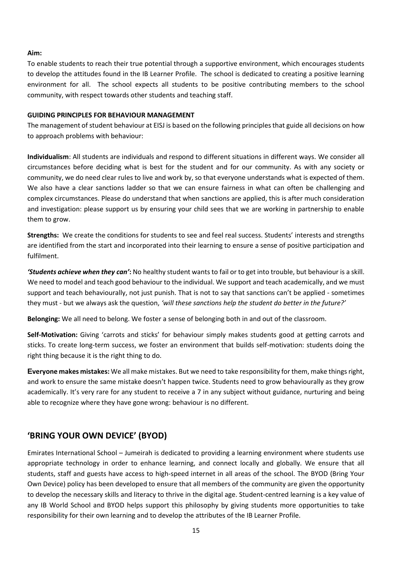#### **Aim:**

To enable students to reach their true potential through a supportive environment, which encourages students to develop the attitudes found in the IB Learner Profile. The school is dedicated to creating a positive learning environment for all. The school expects all students to be positive contributing members to the school community, with respect towards other students and teaching staff.

#### **GUIDING PRINCIPLES FOR BEHAVIOUR MANAGEMENT**

The management of student behaviour at EISJ is based on the following principles that guide all decisions on how to approach problems with behaviour:

**Individualism**: All students are individuals and respond to different situations in different ways. We consider all circumstances before deciding what is best for the student and for our community. As with any society or community, we do need clear rules to live and work by, so that everyone understands what is expected of them. We also have a clear sanctions ladder so that we can ensure fairness in what can often be challenging and complex circumstances. Please do understand that when sanctions are applied, this is after much consideration and investigation: please support us by ensuring your child sees that we are working in partnership to enable them to grow.

**Strengths:** We create the conditions for students to see and feel real success. Students' interests and strengths are identified from the start and incorporated into their learning to ensure a sense of positive participation and fulfilment.

*'Students achieve when they can'***:** No healthy student wants to fail or to get into trouble, but behaviour is a skill. We need to model and teach good behaviour to the individual. We support and teach academically, and we must support and teach behaviourally, not just punish. That is not to say that sanctions can't be applied - sometimes they must - but we always ask the question, *'will these sanctions help the student do better in the future?'*

**Belonging:** We all need to belong. We foster a sense of belonging both in and out of the classroom.

**Self-Motivation:** Giving 'carrots and sticks' for behaviour simply makes students good at getting carrots and sticks. To create long-term success, we foster an environment that builds self-motivation: students doing the right thing because it is the right thing to do.

**Everyone makes mistakes:** We all make mistakes. But we need to take responsibility for them, make things right, and work to ensure the same mistake doesn't happen twice. Students need to grow behaviourally as they grow academically. It's very rare for any student to receive a 7 in any subject without guidance, nurturing and being able to recognize where they have gone wrong: behaviour is no different.

# **'BRING YOUR OWN DEVICE' (BYOD)**

Emirates International School – Jumeirah is dedicated to providing a learning environment where students use appropriate technology in order to enhance learning, and connect locally and globally. We ensure that all students, staff and guests have access to high-speed internet in all areas of the school. The BYOD (Bring Your Own Device) policy has been developed to ensure that all members of the community are given the opportunity to develop the necessary skills and literacy to thrive in the digital age. Student-centred learning is a key value of any IB World School and BYOD helps support this philosophy by giving students more opportunities to take responsibility for their own learning and to develop the attributes of the IB Learner Profile.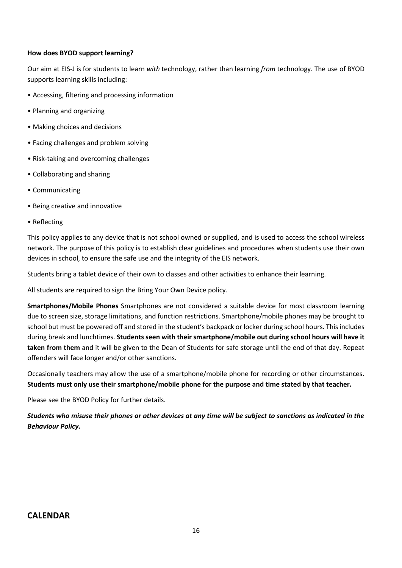#### **How does BYOD support learning?**

Our aim at EIS-J is for students to learn *with* technology, rather than learning *from* technology. The use of BYOD supports learning skills including:

- Accessing, filtering and processing information
- Planning and organizing
- Making choices and decisions
- Facing challenges and problem solving
- Risk-taking and overcoming challenges
- Collaborating and sharing
- Communicating
- Being creative and innovative
- Reflecting

This policy applies to any device that is not school owned or supplied, and is used to access the school wireless network. The purpose of this policy is to establish clear guidelines and procedures when students use their own devices in school, to ensure the safe use and the integrity of the EIS network.

Students bring a tablet device of their own to classes and other activities to enhance their learning.

All students are required to sign the Bring Your Own Device policy.

**Smartphones/Mobile Phones** Smartphones are not considered a suitable device for most classroom learning due to screen size, storage limitations, and function restrictions. Smartphone/mobile phones may be brought to school but must be powered off and stored in the student's backpack or locker during school hours. This includes during break and lunchtimes. **Students seen with their smartphone/mobile out during school hours will have it taken from them** and it will be given to the Dean of Students for safe storage until the end of that day. Repeat offenders will face longer and/or other sanctions.

Occasionally teachers may allow the use of a smartphone/mobile phone for recording or other circumstances. **Students must only use their smartphone/mobile phone for the purpose and time stated by that teacher.** 

Please see the BYOD Policy for further details.

*Students who misuse their phones or other devices at any time will be subject to sanctions as indicated in the Behaviour Policy.*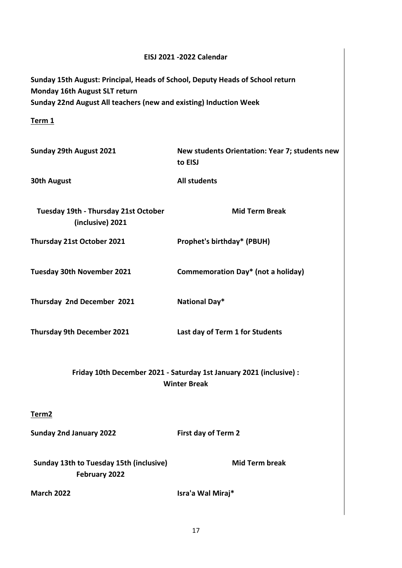# **EISJ 2021 -2022 Calendar Sunday 15th August: Principal, Heads of School, Deputy Heads of School return Monday 16th August SLT return Sunday 22nd August All teachers (new and existing) Induction Week Term 1 Sunday 29th August 2021 New students Orientation: Year 7; students new to EISJ 30th August All students Tuesday 19th - Thursday 21st October (inclusive) 2021 Mid Term Break Thursday 21st October 2021 Prophet's birthday\* (PBUH) Tuesday 30th November 2021 Commemoration Day\* (not a holiday) Thursday 2nd December 2021 National Day\* Thursday 9th December 2021 Last day of Term 1 for Students Friday 10th December 2021 - Saturday 1st January 2021 (inclusive) : Winter Break Term2 Sunday 2nd January 2022 First day of Term 2 Sunday 13th to Tuesday 15th (inclusive) February 2022 Mid Term break March 2022 Isra'a Wal Miraj\***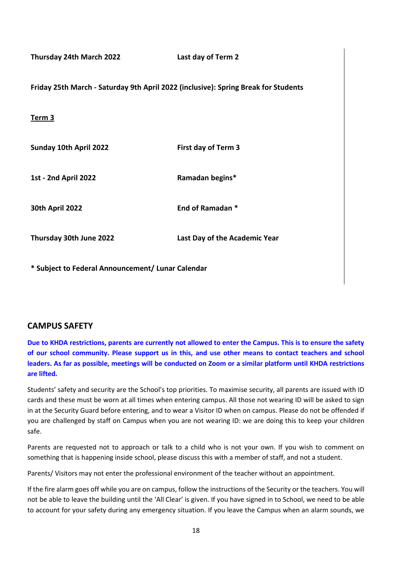**Thursday 24th March 2022 Last day of Term 2 Friday 25th March - Saturday 9th April 2022 (inclusive): Spring Break for Students Term 3 Sunday 10th April 2022 First day of Term 3 1st - 2nd April 2022 Ramadan begins\* 30th April 2022 End of Ramadan \* Thursday 30th June 2022 Last Day of the Academic Year**

**\* Subject to Federal Announcement/ Lunar Calendar** 

#### **CAMPUS SAFETY**

**Due to KHDA restrictions, parents are currently not allowed to enter the Campus. This is to ensure the safety of our school community. Please support us in this, and use other means to contact teachers and school leaders. As far as possible, meetings will be conducted on Zoom or a similar platform until KHDA restrictions are lifted.** 

Students' safety and security are the School's top priorities. To maximise security, all parents are issued with ID cards and these must be worn at all times when entering campus. All those not wearing ID will be asked to sign in at the Security Guard before entering, and to wear a Visitor ID when on campus. Please do not be offended if you are challenged by staff on Campus when you are not wearing ID: we are doing this to keep your children safe.

Parents are requested not to approach or talk to a child who is not your own. If you wish to comment on something that is happening inside school, please discuss this with a member of staff, and not a student.

Parents/ Visitors may not enter the professional environment of the teacher without an appointment.

If the fire alarm goes off while you are on campus, follow the instructions of the Security or the teachers. You will not be able to leave the building until the 'All Clear' is given. If you have signed in to School, we need to be able to account for your safety during any emergency situation. If you leave the Campus when an alarm sounds, we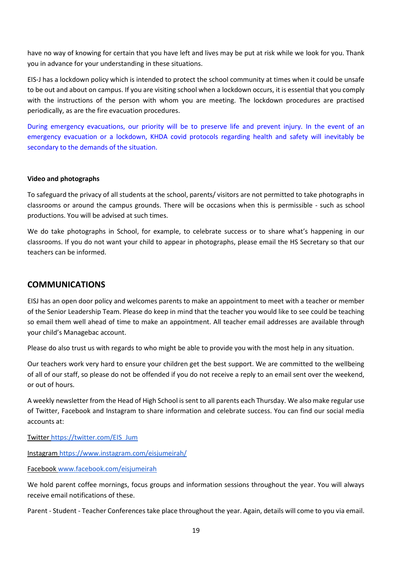have no way of knowing for certain that you have left and lives may be put at risk while we look for you. Thank you in advance for your understanding in these situations.

EIS-J has a lockdown policy which is intended to protect the school community at times when it could be unsafe to be out and about on campus. If you are visiting school when a lockdown occurs, it is essential that you comply with the instructions of the person with whom you are meeting. The lockdown procedures are practised periodically, as are the fire evacuation procedures.

During emergency evacuations, our priority will be to preserve life and prevent injury. In the event of an emergency evacuation or a lockdown, KHDA covid protocols regarding health and safety will inevitably be secondary to the demands of the situation.

#### **Video and photographs**

To safeguard the privacy of all students at the school, parents/ visitors are not permitted to take photographs in classrooms or around the campus grounds. There will be occasions when this is permissible - such as school productions. You will be advised at such times.

We do take photographs in School, for example, to celebrate success or to share what's happening in our classrooms. If you do not want your child to appear in photographs, please email the HS Secretary so that our teachers can be informed.

# **COMMUNICATIONS**

EISJ has an open door policy and welcomes parents to make an appointment to meet with a teacher or member of the Senior Leadership Team. Please do keep in mind that the teacher you would like to see could be teaching so email them well ahead of time to make an appointment. All teacher email addresses are available through your child's Managebac account.

Please do also trust us with regards to who might be able to provide you with the most help in any situation.

Our teachers work very hard to ensure your children get the best support. We are committed to the wellbeing of all of our staff, so please do not be offended if you do not receive a reply to an email sent over the weekend, or out of hours.

A weekly newsletter from the Head of High School is sent to all parents each Thursday. We also make regular use of Twitter, Facebook and Instagram to share information and celebrate success. You can find our social media accounts at:

Twitte[r https://twitter.com/EIS\\_Jum](https://twitter.com/EIS_Jum)

Instagram<https://www.instagram.com/eisjumeirah/>

Facebook [www.facebook.com/eisjumeirah](http://www.facebook.com/eisjumeirah)

We hold parent coffee mornings, focus groups and information sessions throughout the year. You will always receive email notifications of these.

Parent - Student - Teacher Conferences take place throughout the year. Again, details will come to you via email.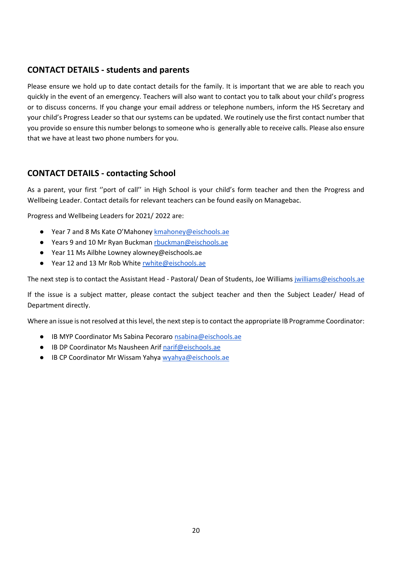# **CONTACT DETAILS - students and parents**

Please ensure we hold up to date contact details for the family. It is important that we are able to reach you quickly in the event of an emergency. Teachers will also want to contact you to talk about your child's progress or to discuss concerns. If you change your email address or telephone numbers, inform the HS Secretary and your child's Progress Leader so that our systems can be updated. We routinely use the first contact number that you provide so ensure this number belongs to someone who is generally able to receive calls. Please also ensure that we have at least two phone numbers for you.

# **CONTACT DETAILS - contacting School**

As a parent, your first ''port of call'' in High School is your child's form teacher and then the Progress and Wellbeing Leader. Contact details for relevant teachers can be found easily on Managebac.

Progress and Wellbeing Leaders for 2021/ 2022 are:

- Year 7 and 8 Ms Kate O'Mahoney [kmahoney@eischools.ae](mailto:kmahoney@eischools.ae)
- Years 9 and 10 Mr Ryan Buckman [rbuckman@eischools.ae](mailto:rbuckman@eischools.ae)
- Year 11 Ms Ailbhe Lowney alowney@eischools.ae
- Year 12 and 13 Mr Rob White [rwhite@eischools.ae](mailto:rwhite@eischools.ae)

The next step is to contact the Assistant Head - Pastoral/ Dean of Students, Joe Williams [jwilliams@eischools.ae](mailto:jwilliams@eischools.ae)

If the issue is a subject matter, please contact the subject teacher and then the Subject Leader/ Head of Department directly.

Where an issue is not resolved at this level, the next step is to contact the appropriate IB Programme Coordinator:

- IB MYP Coordinator Ms Sabina Pecoraro [nsabina@eischools.ae](mailto:nsabina@eischools.ae)
- IB DP Coordinator Ms Nausheen Ari[f narif@eischools.ae](mailto:narif@eischools.ae)
- IB CP Coordinator Mr Wissam Yahy[a wyahya@eischools.ae](mailto:wyahya@eischools.ae)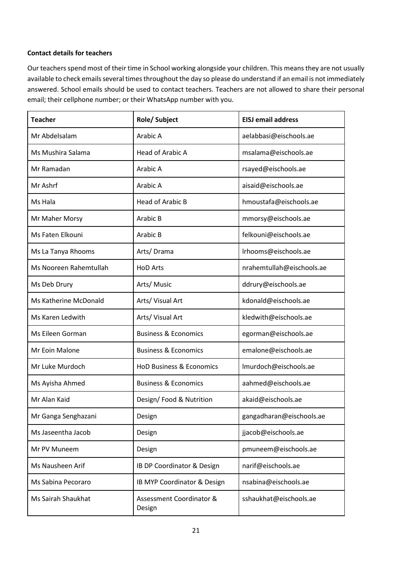#### **Contact details for teachers**

Our teachers spend most of their time in School working alongside your children. This means they are not usually available to check emails several times throughout the day so please do understand if an email is not immediately answered. School emails should be used to contact teachers. Teachers are not allowed to share their personal email; their cellphone number; or their WhatsApp number with you.

| <b>Teacher</b>         | <b>Role/Subject</b>                 | <b>EISJ</b> email address |
|------------------------|-------------------------------------|---------------------------|
| Mr Abdelsalam          | Arabic A                            | aelabbasi@eischools.ae    |
| Ms Mushira Salama      | Head of Arabic A                    | msalama@eischools.ae      |
| Mr Ramadan             | Arabic A                            | rsayed@eischools.ae       |
| Mr Ashrf               | Arabic A                            | aisaid@eischools.ae       |
| Ms Hala                | <b>Head of Arabic B</b>             | hmoustafa@eischools.ae    |
| Mr Maher Morsy         | Arabic B                            | mmorsy@eischools.ae       |
| Ms Faten Elkouni       | Arabic B                            | felkouni@eischools.ae     |
| Ms La Tanya Rhooms     | Arts/Drama                          | Irhooms@eischools.ae      |
| Ms Nooreen Rahemtullah | <b>HoD Arts</b>                     | nrahemtullah@eischools.ae |
| Ms Deb Drury           | Arts/Music                          | ddrury@eischools.ae       |
| Ms Katherine McDonald  | Arts/ Visual Art                    | kdonald@eischools.ae      |
| Ms Karen Ledwith       | Arts/ Visual Art                    | kledwith@eischools.ae     |
| Ms Eileen Gorman       | <b>Business &amp; Economics</b>     | egorman@eischools.ae      |
| Mr Eoin Malone         | <b>Business &amp; Economics</b>     | emalone@eischools.ae      |
| Mr Luke Murdoch        | <b>HoD Business &amp; Economics</b> | Imurdoch@eischools.ae     |
| Ms Ayisha Ahmed        | <b>Business &amp; Economics</b>     | aahmed@eischools.ae       |
| Mr Alan Kaid           | Design/Food & Nutrition             | akaid@eischools.ae        |
| Mr Ganga Senghazani    | Design                              | gangadharan@eischools.ae  |
| Ms Jaseentha Jacob     | Design                              | jjacob@eischools.ae       |
| Mr PV Muneem           | Design                              | pmuneem@eischools.ae      |
| Ms Nausheen Arif       | IB DP Coordinator & Design          | narif@eischools.ae        |
| Ms Sabina Pecoraro     | IB MYP Coordinator & Design         | nsabina@eischools.ae      |
| Ms Sairah Shaukhat     | Assessment Coordinator &<br>Design  | sshaukhat@eischools.ae    |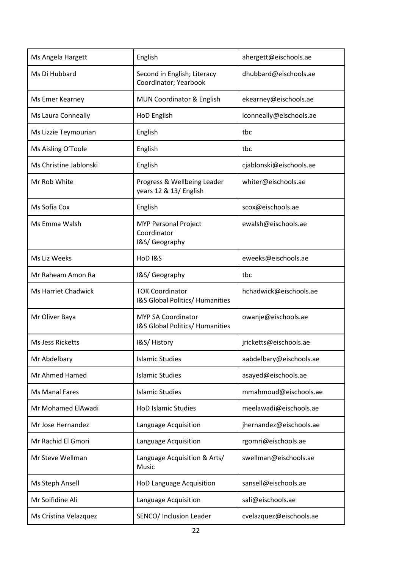| Ms Angela Hargett          | English                                                      | ahergett@eischools.ae   |
|----------------------------|--------------------------------------------------------------|-------------------------|
| Ms Di Hubbard              | Second in English; Literacy<br>Coordinator; Yearbook         | dhubbard@eischools.ae   |
| Ms Emer Kearney            | MUN Coordinator & English                                    | ekearney@eischools.ae   |
| Ms Laura Conneally         | HoD English                                                  | lconneally@eischools.ae |
| Ms Lizzie Teymourian       | English                                                      | tbc                     |
| Ms Aisling O'Toole         | English                                                      | tbc                     |
| Ms Christine Jablonski     | English                                                      | cjablonski@eischools.ae |
| Mr Rob White               | Progress & Wellbeing Leader<br>years 12 & 13/ English        | whiter@eischools.ae     |
| Ms Sofia Cox               | English                                                      | scox@eischools.ae       |
| Ms Emma Walsh              | <b>MYP Personal Project</b><br>Coordinator<br>I&S/ Geography | ewalsh@eischools.ae     |
| Ms Liz Weeks               | HoD I&S                                                      | eweeks@eischools.ae     |
| Mr Raheam Amon Ra          | I&S/ Geography                                               | tbc                     |
| <b>Ms Harriet Chadwick</b> | <b>TOK Coordinator</b><br>I&S Global Politics/ Humanities    | hchadwick@eischools.ae  |
| Mr Oliver Baya             | <b>MYP SA Coordinator</b><br>I&S Global Politics/ Humanities | owanje@eischools.ae     |
| Ms Jess Ricketts           | I&S/History                                                  | jricketts@eischools.ae  |
| Mr Abdelbary               | <b>Islamic Studies</b>                                       | aabdelbary@eischools.ae |
| Mr Ahmed Hamed             | <b>Islamic Studies</b>                                       | asayed@eischools.ae     |
| <b>Ms Manal Fares</b>      | <b>Islamic Studies</b>                                       | mmahmoud@eischools.ae   |
| Mr Mohamed ElAwadi         | <b>HoD Islamic Studies</b>                                   | meelawadi@eischools.ae  |
| Mr Jose Hernandez          | Language Acquisition                                         | jhernandez@eischools.ae |
| Mr Rachid El Gmori         | Language Acquisition                                         | rgomri@eischools.ae     |
| Mr Steve Wellman           | Language Acquisition & Arts/<br>Music                        | swellman@eischools.ae   |
| Ms Steph Ansell            | HoD Language Acquisition                                     | sansell@eischools.ae    |
| Mr Soifidine Ali           | Language Acquisition                                         | sali@eischools.ae       |
| Ms Cristina Velazquez      | SENCO/ Inclusion Leader                                      | cvelazquez@eischools.ae |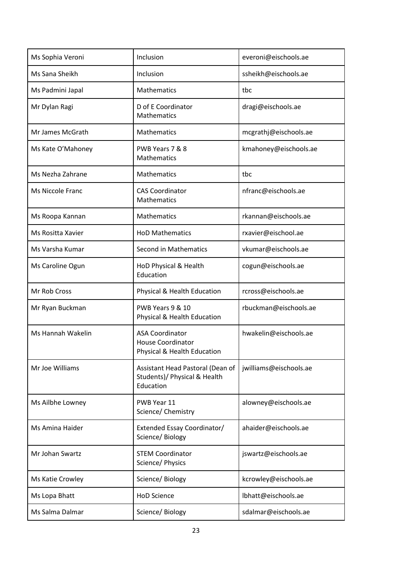| Ms Sophia Veroni  | Inclusion                                                                         | everoni@eischools.ae   |
|-------------------|-----------------------------------------------------------------------------------|------------------------|
| Ms Sana Sheikh    | Inclusion                                                                         | ssheikh@eischools.ae   |
| Ms Padmini Japal  | Mathematics                                                                       | tbc                    |
| Mr Dylan Ragi     | D of E Coordinator<br>Mathematics                                                 | dragi@eischools.ae     |
| Mr James McGrath  | Mathematics                                                                       | mcgrathj@eischools.ae  |
| Ms Kate O'Mahoney | PWB Years 7 & 8<br>Mathematics                                                    | kmahoney@eischools.ae  |
| Ms Nezha Zahrane  | Mathematics                                                                       | tbc                    |
| Ms Niccole Franc  | <b>CAS Coordinator</b><br>Mathematics                                             | nfranc@eischools.ae    |
| Ms Roopa Kannan   | Mathematics                                                                       | rkannan@eischools.ae   |
| Ms Rositta Xavier | <b>HoD Mathematics</b>                                                            | rxavier@eischool.ae    |
| Ms Varsha Kumar   | <b>Second in Mathematics</b>                                                      | vkumar@eischools.ae    |
| Ms Caroline Ogun  | HoD Physical & Health<br>Education                                                | cogun@eischools.ae     |
| Mr Rob Cross      | Physical & Health Education                                                       | rcross@eischools.ae    |
| Mr Ryan Buckman   | PWB Years 9 & 10<br>Physical & Health Education                                   | rbuckman@eischools.ae  |
| Ms Hannah Wakelin | <b>ASA Coordinator</b><br><b>House Coordinator</b><br>Physical & Health Education | hwakelin@eischools.ae  |
| Mr Joe Williams   | Assistant Head Pastoral (Dean of<br>Students)/ Physical & Health<br>Education     | jwilliams@eischools.ae |
| Ms Ailbhe Lowney  | PWB Year 11<br>Science/ Chemistry                                                 | alowney@eischools.ae   |
| Ms Amina Haider   | Extended Essay Coordinator/<br>Science/ Biology                                   | ahaider@eischools.ae   |
| Mr Johan Swartz   | <b>STEM Coordinator</b><br>Science/ Physics                                       | jswartz@eischools.ae   |
| Ms Katie Crowley  | Science/Biology                                                                   | kcrowley@eischools.ae  |
| Ms Lopa Bhatt     | <b>HoD Science</b>                                                                | lbhatt@eischools.ae    |
| Ms Salma Dalmar   | Science/ Biology                                                                  | sdalmar@eischools.ae   |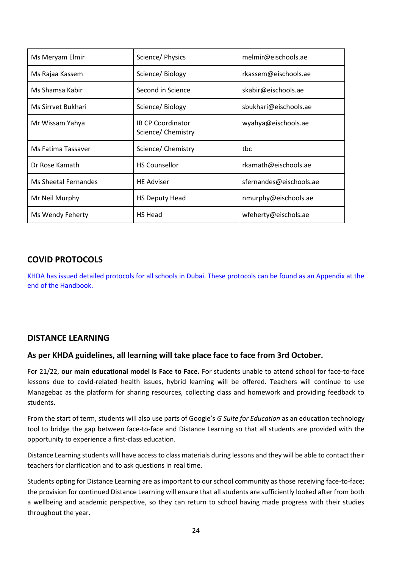| Ms Meryam Elmir      | Science/ Physics                              | melmir@eischools.ae     |
|----------------------|-----------------------------------------------|-------------------------|
| Ms Rajaa Kassem      | Science/ Biology                              | rkassem@eischools.ae    |
| Ms Shamsa Kabir      | Second in Science                             | skabir@eischools.ae     |
| Ms Sirrvet Bukhari   | Science/Biology                               | sbukhari@eischools.ae   |
| Mr Wissam Yahya      | <b>IB CP Coordinator</b><br>Science/Chemistry | wyahya@eischools.ae     |
| Ms Fatima Tassaver   | Science/Chemistry                             | tbc                     |
| Dr Rose Kamath       | <b>HS Counsellor</b>                          | rkamath@eischools.ae    |
| Ms Sheetal Fernandes | <b>HE Adviser</b>                             | sfernandes@eischools.ae |
| Mr Neil Murphy       | <b>HS Deputy Head</b>                         | nmurphy@eischools.ae    |
| Ms Wendy Feherty     | HS Head                                       | wfeherty@eischols.ae    |

# **COVID PROTOCOLS**

KHDA has issued detailed protocols for all schools in Dubai. These protocols can be found as an Appendix at the end of the Handbook.

# **DISTANCE LEARNING**

#### **As per KHDA guidelines, all learning will take place face to face from 3rd October.**

For 21/22, **our main educational model is Face to Face.** For students unable to attend school for face-to-face lessons due to covid-related health issues, hybrid learning will be offered. Teachers will continue to use Managebac as the platform for sharing resources, collecting class and homework and providing feedback to students.

From the start of term, students will also use parts of Google's *G Suite for Education* as an education technology tool to bridge the gap between face-to-face and Distance Learning so that all students are provided with the opportunity to experience a first-class education.

Distance Learning students will have access to class materials during lessons and they will be able to contact their teachers for clarification and to ask questions in real time.

Students opting for Distance Learning are as important to our school community as those receiving face-to-face; the provision for continued Distance Learning will ensure that all students are sufficiently looked after from both a wellbeing and academic perspective, so they can return to school having made progress with their studies throughout the year.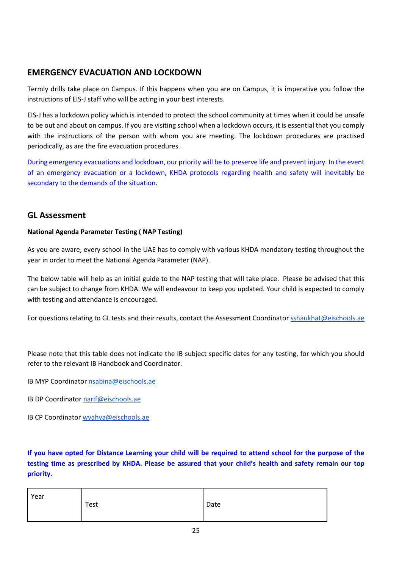# **EMERGENCY EVACUATION AND LOCKDOWN**

Termly drills take place on Campus. If this happens when you are on Campus, it is imperative you follow the instructions of EIS-J staff who will be acting in your best interests.

EIS-J has a lockdown policy which is intended to protect the school community at times when it could be unsafe to be out and about on campus. If you are visiting school when a lockdown occurs, it is essential that you comply with the instructions of the person with whom you are meeting. The lockdown procedures are practised periodically, as are the fire evacuation procedures.

During emergency evacuations and lockdown, our priority will be to preserve life and prevent injury. In the event of an emergency evacuation or a lockdown, KHDA protocols regarding health and safety will inevitably be secondary to the demands of the situation.

# **GL Assessment**

#### **National Agenda Parameter Testing ( NAP Testing)**

As you are aware, every school in the UAE has to comply with various KHDA mandatory testing throughout the year in order to meet the National Agenda Parameter (NAP).

The below table will help as an initial guide to the NAP testing that will take place. Please be advised that this can be subject to change from KHDA. We will endeavour to keep you updated. Your child is expected to comply with testing and attendance is encouraged.

For questions relating to GL tests and their results, contact the Assessment Coordinato[r sshaukhat@eischools.ae](mailto:sshaukhat@eischools.ae)

Please note that this table does not indicate the IB subject specific dates for any testing, for which you should refer to the relevant IB Handbook and Coordinator.

- IB MYP Coordinator [nsabina@eischools.ae](mailto:nsabina@eischools.ae)
- IB DP Coordinator [narif@eischools.ae](mailto:narif@eischools.ae)
- IB CP Coordinator [wyahya@eischools.ae](mailto:wyahya@eischools.ae)

**If you have opted for Distance Learning your child will be required to attend school for the purpose of the testing time as prescribed by KHDA. Please be assured that your child's health and safety remain our top priority.** 

| Year | Test | Date |
|------|------|------|
|      |      |      |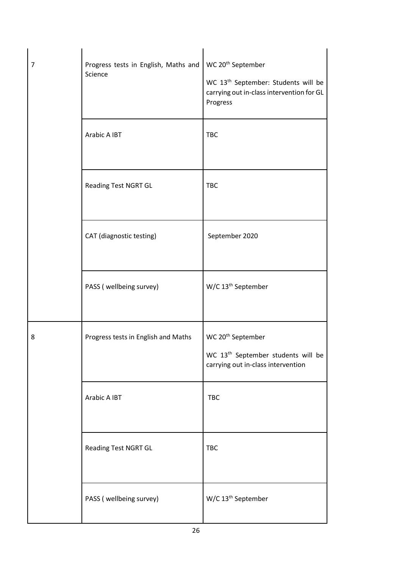| $\overline{7}$ | Progress tests in English, Maths and<br>Science | WC 20 <sup>th</sup> September<br>WC 13 <sup>th</sup> September: Students will be<br>carrying out in-class intervention for GL<br>Progress |
|----------------|-------------------------------------------------|-------------------------------------------------------------------------------------------------------------------------------------------|
|                | Arabic A IBT                                    | <b>TBC</b>                                                                                                                                |
|                | <b>Reading Test NGRT GL</b>                     | <b>TBC</b>                                                                                                                                |
|                | CAT (diagnostic testing)                        | September 2020                                                                                                                            |
|                | PASS (wellbeing survey)                         | $W/C$ 13 <sup>th</sup> September                                                                                                          |
| 8              | Progress tests in English and Maths             | WC 20 <sup>th</sup> September<br>WC 13 <sup>th</sup> September students will be<br>carrying out in-class intervention                     |
|                | Arabic A IBT                                    | <b>TBC</b>                                                                                                                                |
|                | Reading Test NGRT GL                            | <b>TBC</b>                                                                                                                                |
|                | PASS (wellbeing survey)                         | W/C 13 <sup>th</sup> September                                                                                                            |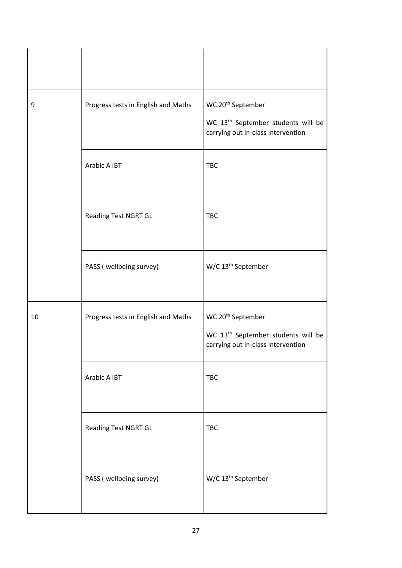| 9  | Progress tests in English and Maths | WC 20 <sup>th</sup> September<br>WC 13 <sup>th</sup> September students will be<br>carrying out in-class intervention |
|----|-------------------------------------|-----------------------------------------------------------------------------------------------------------------------|
|    | Arabic A IBT                        | <b>TBC</b>                                                                                                            |
|    | Reading Test NGRT GL                | <b>TBC</b>                                                                                                            |
|    | PASS (wellbeing survey)             | $W/C$ 13 <sup>th</sup> September                                                                                      |
| 10 | Progress tests in English and Maths | WC 20 <sup>th</sup> September<br>WC 13 <sup>th</sup> September students will be<br>carrying out in-class intervention |
|    | Arabic A IBT                        | <b>TBC</b>                                                                                                            |
|    | Reading Test NGRT GL                | <b>TBC</b>                                                                                                            |
|    | PASS (wellbeing survey)             | W/C 13 <sup>th</sup> September                                                                                        |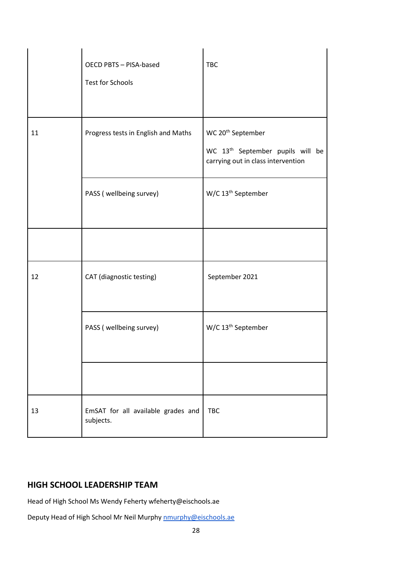|    | <b>OECD PBTS - PISA-based</b><br><b>Test for Schools</b> | <b>TBC</b>                                                                                                          |
|----|----------------------------------------------------------|---------------------------------------------------------------------------------------------------------------------|
| 11 | Progress tests in English and Maths                      | WC 20 <sup>th</sup> September<br>WC 13 <sup>th</sup> September pupils will be<br>carrying out in class intervention |
|    | PASS (wellbeing survey)                                  | $W/C$ 13 <sup>th</sup> September                                                                                    |
|    |                                                          |                                                                                                                     |
| 12 | CAT (diagnostic testing)                                 | September 2021                                                                                                      |
|    | PASS (wellbeing survey)                                  | W/C 13 <sup>th</sup> September                                                                                      |
|    |                                                          |                                                                                                                     |
| 13 | EmSAT for all available grades and<br>subjects.          | <b>TBC</b>                                                                                                          |

# **HIGH SCHOOL LEADERSHIP TEAM**

Head of High School Ms Wendy Feherty wfeherty@eischools.ae

Deputy Head of High School Mr Neil Murphy [nmurphy@eischools.ae](mailto:nmorphy@eischools.ae)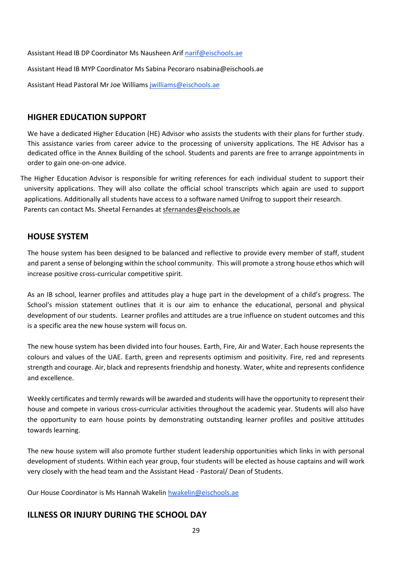Assistant Head IB DP Coordinator Ms Nausheen Arif [narif@eischools.ae](mailto:narif@eischools.ae)

Assistant Head IB MYP Coordinator Ms Sabina Pecoraro nsabina@eischools.ae

Assistant Head Pastoral Mr Joe William[s jwilliams@eischools.ae](mailto:jwilliams@eischools.ae)

# **HIGHER EDUCATION SUPPORT**

We have a dedicated Higher Education (HE) Advisor who assists the students with their plans for further study. This assistance varies from career advice to the processing of university applications. The HE Advisor has a dedicated office in the Annex Building of the school. Students and parents are free to arrange appointments in order to gain one-on-one advice.

 The Higher Education Advisor is responsible for writing references for each individual student to support their university applications. They will also collate the official school transcripts which again are used to support applications. Additionally all students have access to a software named Unifrog to support their research. Parents can contact Ms. Sheetal Fernandes at sfernandes@eischools.ae

# **HOUSE SYSTEM**

The house system has been designed to be balanced and reflective to provide every member of staff, student and parent a sense of belonging within the school community. This will promote a strong house ethos which will increase positive cross-curricular competitive spirit.

As an IB school, learner profiles and attitudes play a huge part in the development of a child's progress. The School's mission statement outlines that it is our aim to enhance the educational, personal and physical development of our students. Learner profiles and attitudes are a true influence on student outcomes and this is a specific area the new house system will focus on.

The new house system has been divided into four houses. Earth, Fire, Air and Water. Each house represents the colours and values of the UAE. Earth, green and represents optimism and positivity. Fire, red and represents strength and courage. Air, black and represents friendship and honesty. Water, white and represents confidence and excellence.

Weekly certificates and termly rewards will be awarded and students will have the opportunity to represent their house and compete in various cross-curricular activities throughout the academic year. Students will also have the opportunity to earn house points by demonstrating outstanding learner profiles and positive attitudes towards learning.

The new house system will also promote further student leadership opportunities which links in with personal development of students. Within each year group, four students will be elected as house captains and will work very closely with the head team and the Assistant Head - Pastoral/ Dean of Students.

Our House Coordinator is Ms Hannah Wakeli[n hwakelin@eischools.ae](mailto:hwakelin@eischools.ae)

# **ILLNESS OR INJURY DURING THE SCHOOL DAY**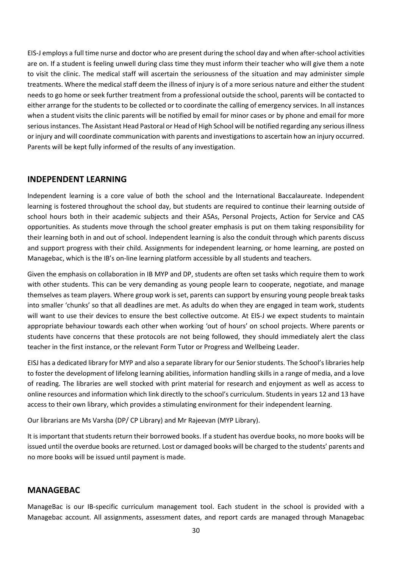EIS-J employs a full time nurse and doctor who are present during the school day and when after-school activities are on. If a student is feeling unwell during class time they must inform their teacher who will give them a note to visit the clinic. The medical staff will ascertain the seriousness of the situation and may administer simple treatments. Where the medical staff deem the illness of injury is of a more serious nature and either the student needs to go home or seek further treatment from a professional outside the school, parents will be contacted to either arrange for the students to be collected or to coordinate the calling of emergency services. In all instances when a student visits the clinic parents will be notified by email for minor cases or by phone and email for more serious instances. The Assistant Head Pastoral or Head of High School will be notified regarding any serious illness or injury and will coordinate communication with parents and investigations to ascertain how an injury occurred. Parents will be kept fully informed of the results of any investigation.

#### **INDEPENDENT LEARNING**

Independent learning is a core value of both the school and the International Baccalaureate. Independent learning is fostered throughout the school day, but students are required to continue their learning outside of school hours both in their academic subjects and their ASAs, Personal Projects, Action for Service and CAS opportunities. As students move through the school greater emphasis is put on them taking responsibility for their learning both in and out of school. Independent learning is also the conduit through which parents discuss and support progress with their child. Assignments for independent learning, or home learning, are posted on Managebac, which is the IB's on-line learning platform accessible by all students and teachers.

Given the emphasis on collaboration in IB MYP and DP, students are often set tasks which require them to work with other students. This can be very demanding as young people learn to cooperate, negotiate, and manage themselves as team players. Where group work is set, parents can support by ensuring young people break tasks into smaller 'chunks' so that all deadlines are met. As adults do when they are engaged in team work, students will want to use their devices to ensure the best collective outcome. At EIS-J we expect students to maintain appropriate behaviour towards each other when working 'out of hours' on school projects. Where parents or students have concerns that these protocols are not being followed, they should immediately alert the class teacher in the first instance, or the relevant Form Tutor or Progress and Wellbeing Leader.

EISJ has a dedicated library for MYP and also a separate library for our Senior students. The School's libraries help to foster the development of lifelong learning abilities, information handling skills in a range of media, and a love of reading. The libraries are well stocked with print material for research and enjoyment as well as access to online resources and information which link directly to the school's curriculum. Students in years 12 and 13 have access to their own library, which provides a stimulating environment for their independent learning.

Our librarians are Ms Varsha (DP/ CP Library) and Mr Rajeevan (MYP Library).

It is important that students return their borrowed books. If a student has overdue books, no more books will be issued until the overdue books are returned. Lost or damaged books will be charged to the students' parents and no more books will be issued until payment is made.

#### **MANAGEBAC**

ManageBac is our IB-specific curriculum management tool. Each student in the school is provided with a Managebac account. All assignments, assessment dates, and report cards are managed through Managebac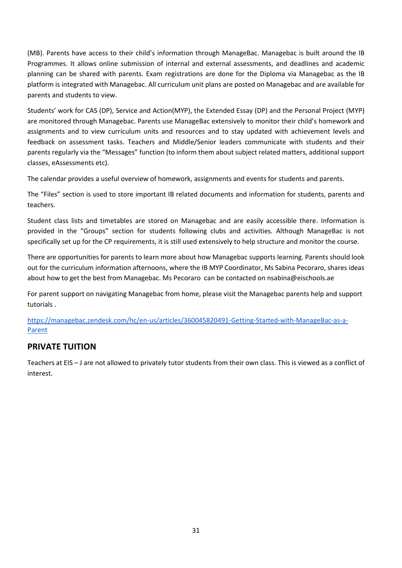(MB). Parents have access to their child's information through ManageBac. Managebac is built around the IB Programmes. It allows online submission of internal and external assessments, and deadlines and academic planning can be shared with parents. Exam registrations are done for the Diploma via Managebac as the IB platform is integrated with Managebac. All curriculum unit plans are posted on Managebac and are available for parents and students to view.

Students' work for CAS (DP), Service and Action(MYP), the Extended Essay (DP) and the Personal Project (MYP) are monitored through Managebac. Parents use ManageBac extensively to monitor their child's homework and assignments and to view curriculum units and resources and to stay updated with achievement levels and feedback on assessment tasks. Teachers and Middle/Senior leaders communicate with students and their parents regularly via the "Messages" function (to inform them about subject related matters, additional support classes, eAssessments etc).

The calendar provides a useful overview of homework, assignments and events for students and parents.

The "Files" section is used to store important IB related documents and information for students, parents and teachers.

Student class lists and timetables are stored on Managebac and are easily accessible there. Information is provided in the "Groups" section for students following clubs and activities. Although ManageBac is not specifically set up for the CP requirements, it is still used extensively to help structure and monitor the course.

There are opportunities for parents to learn more about how Managebac supports learning. Parents should look out for the curriculum information afternoons, where the IB MYP Coordinator, Ms Sabina Pecoraro, shares ideas about how to get the best from Managebac. Ms Pecoraro can be contacted on nsabina@eischools.ae

For parent support on navigating Managebac from home, please visit the Managebac parents help and support tutorials .

[https://managebac.zendesk.com/hc/en-us/articles/360045820491-Getting-Started-with-ManageBac-as-a-](https://managebac.zendesk.com/hc/en-us/articles/360045820491-Getting-Started-with-ManageBac-as-a-Parent)[Parent](https://managebac.zendesk.com/hc/en-us/articles/360045820491-Getting-Started-with-ManageBac-as-a-Parent)

# **PRIVATE TUITION**

Teachers at EIS – J are not allowed to privately tutor students from their own class. This is viewed as a conflict of interest.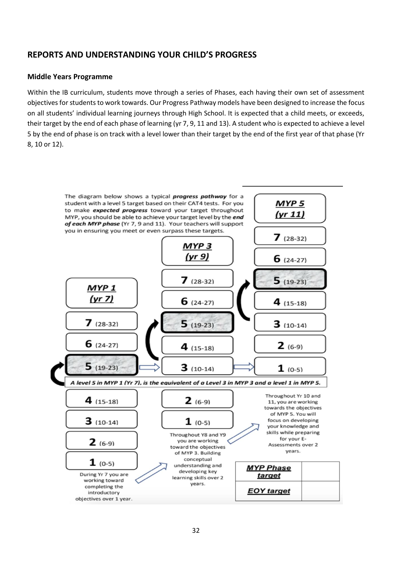# **REPORTS AND UNDERSTANDING YOUR CHILD'S PROGRESS**

#### **Middle Years Programme**

Within the IB curriculum, students move through a series of Phases, each having their own set of assessment objectives for students to work towards. Our Progress Pathway models have been designed to increase the focus on all students' individual learning journeys through High School. It is expected that a child meets, or exceeds, their target by the end of each phase of learning (yr 7, 9, 11 and 13). A student who is expected to achieve a level 5 by the end of phase is on track with a level lower than their target by the end of the first year of that phase (Yr 8, 10 or 12).

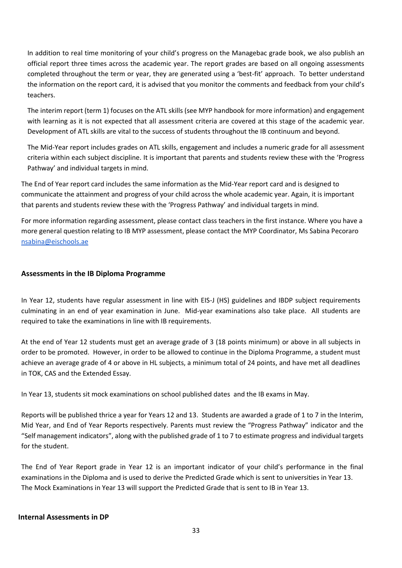In addition to real time monitoring of your child's progress on the Managebac grade book, we also publish an official report three times across the academic year. The report grades are based on all ongoing assessments completed throughout the term or year, they are generated using a 'best-fit' approach. To better understand the information on the report card, it is advised that you monitor the comments and feedback from your child's teachers.

The interim report (term 1) focuses on the ATL skills (see MYP handbook for more information) and engagement with learning as it is not expected that all assessment criteria are covered at this stage of the academic year. Development of ATL skills are vital to the success of students throughout the IB continuum and beyond.

The Mid-Year report includes grades on ATL skills, engagement and includes a numeric grade for all assessment criteria within each subject discipline. It is important that parents and students review these with the 'Progress Pathway' and individual targets in mind.

The End of Year report card includes the same information as the Mid-Year report card and is designed to communicate the attainment and progress of your child across the whole academic year. Again, it is important that parents and students review these with the 'Progress Pathway' and individual targets in mind.

For more information regarding assessment, please contact class teachers in the first instance. Where you have a more general question relating to IB MYP assessment, please contact the MYP Coordinator, Ms Sabina Pecoraro [nsabina@eischools.ae](mailto:nsabina@eischools.ae)

#### **Assessments in the IB Diploma Programme**

In Year 12, students have regular assessment in line with EIS-J (HS) guidelines and IBDP subject requirements culminating in an end of year examination in June. Mid-year examinations also take place. All students are required to take the examinations in line with IB requirements.

At the end of Year 12 students must get an average grade of 3 (18 points minimum) or above in all subjects in order to be promoted. However, in order to be allowed to continue in the Diploma Programme, a student must achieve an average grade of 4 or above in HL subjects, a minimum total of 24 points, and have met all deadlines in TOK, CAS and the Extended Essay.

In Year 13, students sit mock examinations on school published dates and the IB exams in May.

Reports will be published thrice a year for Years 12 and 13. Students are awarded a grade of 1 to 7 in the Interim, Mid Year, and End of Year Reports respectively. Parents must review the "Progress Pathway" indicator and the "Self management indicators", along with the published grade of 1 to 7 to estimate progress and individual targets for the student.

The End of Year Report grade in Year 12 is an important indicator of your child's performance in the final examinations in the Diploma and is used to derive the Predicted Grade which is sent to universities in Year 13. The Mock Examinations in Year 13 will support the Predicted Grade that is sent to IB in Year 13.

#### **Internal Assessments in DP**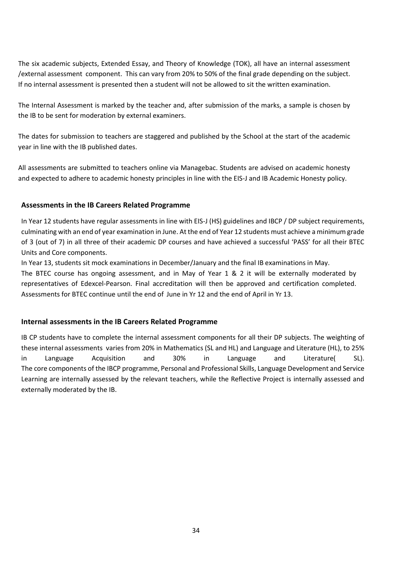The six academic subjects, Extended Essay, and Theory of Knowledge (TOK), all have an internal assessment /external assessment component. This can vary from 20% to 50% of the final grade depending on the subject. If no internal assessment is presented then a student will not be allowed to sit the written examination.

The Internal Assessment is marked by the teacher and, after submission of the marks, a sample is chosen by the IB to be sent for moderation by external examiners.

The dates for submission to teachers are staggered and published by the School at the start of the academic year in line with the IB published dates.

All assessments are submitted to teachers online via Managebac. Students are advised on academic honesty and expected to adhere to academic honesty principles in line with the EIS-J and IB Academic Honesty policy.

#### **Assessments in the IB Careers Related Programme**

In Year 12 students have regular assessments in line with EIS-J (HS) guidelines and IBCP / DP subject requirements, culminating with an end of year examination in June. At the end of Year 12 students must achieve a minimum grade of 3 (out of 7) in all three of their academic DP courses and have achieved a successful 'PASS' for all their BTEC Units and Core components.

In Year 13, students sit mock examinations in December/January and the final IB examinations in May. The BTEC course has ongoing assessment, and in May of Year 1 & 2 it will be externally moderated by representatives of Edexcel-Pearson. Final accreditation will then be approved and certification completed. Assessments for BTEC continue until the end of June in Yr 12 and the end of April in Yr 13.

#### **Internal assessments in the IB Careers Related Programme**

IB CP students have to complete the internal assessment components for all their DP subjects. The weighting of these internal assessments varies from 20% in Mathematics (SL and HL) and Language and Literature (HL), to 25% in Language Acquisition and 30% in Language and Literature( SL). The core components of the IBCP programme, Personal and Professional Skills, Language Development and Service Learning are internally assessed by the relevant teachers, while the Reflective Project is internally assessed and externally moderated by the IB.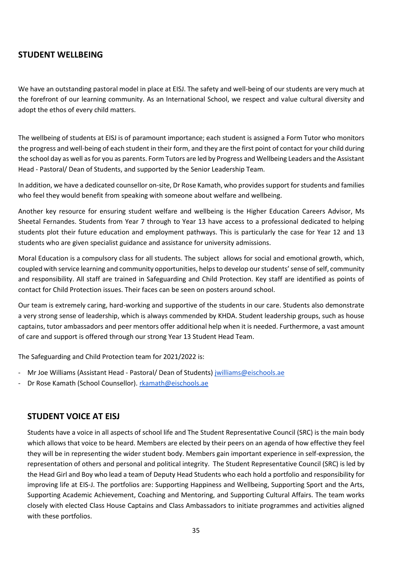### **STUDENT WELLBEING**

We have an outstanding pastoral model in place at EISJ. The safety and well-being of our students are very much at the forefront of our learning community. As an International School, we respect and value cultural diversity and adopt the ethos of every child matters.

The wellbeing of students at EISJ is of paramount importance; each student is assigned a Form Tutor who monitors the progress and well-being of each student in their form, and they are the first point of contact for your child during the school day as well as for you as parents. Form Tutors are led by Progress and Wellbeing Leaders and the Assistant Head - Pastoral/ Dean of Students, and supported by the Senior Leadership Team.

In addition, we have a dedicated counsellor on-site, Dr Rose Kamath, who provides support for students and families who feel they would benefit from speaking with someone about welfare and wellbeing.

Another key resource for ensuring student welfare and wellbeing is the Higher Education Careers Advisor, Ms Sheetal Fernandes. Students from Year 7 through to Year 13 have access to a professional dedicated to helping students plot their future education and employment pathways. This is particularly the case for Year 12 and 13 students who are given specialist guidance and assistance for university admissions.

Moral Education is a compulsory class for all students. The subject allows for social and emotional growth, which, coupled with service learning and community opportunities, helps to develop our students' sense of self, community and responsibility. All staff are trained in Safeguarding and Child Protection. Key staff are identified as points of contact for Child Protection issues. Their faces can be seen on posters around school.

Our team is extremely caring, hard-working and supportive of the students in our care. Students also demonstrate a very strong sense of leadership, which is always commended by KHDA. Student leadership groups, such as house captains, tutor ambassadors and peer mentors offer additional help when it is needed. Furthermore, a vast amount of care and support is offered through our strong Year 13 Student Head Team.

The Safeguarding and Child Protection team for 2021/2022 is:

- Mr Joe Williams (Assistant Head Pastoral/ Dean of Students) [jwilliams@eischools.ae](mailto:jwilliams@eischools.ae)
- Dr Rose Kamath (School Counsellor). [rkamath@eischools.ae](mailto:rkamath@eischools.ae)

#### **STUDENT VOICE AT EISJ**

Students have a voice in all aspects of school life and The Student Representative Council (SRC) is the main body which allows that voice to be heard. Members are elected by their peers on an agenda of how effective they feel they will be in representing the wider student body. Members gain important experience in self-expression, the representation of others and personal and political integrity. The Student Representative Council (SRC) is led by the Head Girl and Boy who lead a team of Deputy Head Students who each hold a portfolio and responsibility for improving life at EIS-J. The portfolios are: Supporting Happiness and Wellbeing, Supporting Sport and the Arts, Supporting Academic Achievement, Coaching and Mentoring, and Supporting Cultural Affairs. The team works closely with elected Class House Captains and Class Ambassadors to initiate programmes and activities aligned with these portfolios.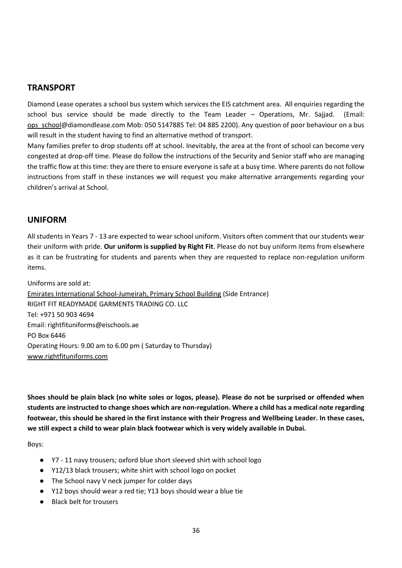#### **TRANSPORT**

Diamond Lease operates a school bus system which services the EIS catchment area. All enquiries regarding the school bus service should be made directly to the Team Leader – Operations, Mr. Sajjad. (Email: ops\_school@diamondlease.com Mob: 050 5147885 Tel: 04 885 2200). Any question of poor behaviour on a bus will result in the student having to find an alternative method of transport.

Many families prefer to drop students off at school. Inevitably, the area at the front of school can become very congested at drop-off time. Please do follow the instructions of the Security and Senior staff who are managing the traffic flow at this time: they are there to ensure everyone is safe at a busy time. Where parents do not follow instructions from staff in these instances we will request you make alternative arrangements regarding your children's arrival at School.

#### **UNIFORM**

All students in Years 7 - 13 are expected to wear school uniform. Visitors often comment that our students wear their uniform with pride. **Our uniform is supplied by Right Fit**. Please do not buy uniform items from elsewhere as it can be frustrating for students and parents when they are requested to replace non-regulation uniform items.

Uniforms are sold at: Emirates International School-Jumeirah, Primary School Building (Side Entrance) RIGHT FIT READYMADE GARMENTS TRADING CO. LLC Tel: +971 50 903 4694 Email: rightfituniforms@eischools.ae PO Box 6446 Operating Hours: 9.00 am to 6.00 pm ( Saturday to Thursday) [www.rightfituniforms.com](http://www.rightfituniforms.com/)

**Shoes should be plain black (no white soles or logos, please). Please do not be surprised or offended when students are instructed to change shoes which are non-regulation. Where a child has a medical note regarding footwear, this should be shared in the first instance with their Progress and Wellbeing Leader. In these cases, we still expect a child to wear plain black footwear which is very widely available in Dubai.** 

Boys:

- Y7 11 navy trousers; oxford blue short sleeved shirt with school logo
- Y12/13 black trousers; white shirt with school logo on pocket
- The School navy V neck jumper for colder days
- Y12 boys should wear a red tie; Y13 boys should wear a blue tie
- **Black belt for trousers**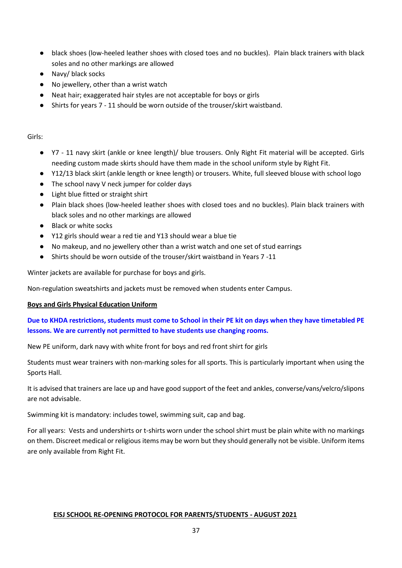- black shoes (low-heeled leather shoes with closed toes and no buckles). Plain black trainers with black soles and no other markings are allowed
- Navy/ black socks
- No jewellery, other than a wrist watch
- Neat hair; exaggerated hair styles are not acceptable for boys or girls
- Shirts for years 7 11 should be worn outside of the trouser/skirt waistband.

#### Girls:

- Y7 11 navy skirt (ankle or knee length)/ blue trousers. Only Right Fit material will be accepted. Girls needing custom made skirts should have them made in the school uniform style by Right Fit.
- Y12/13 black skirt (ankle length or knee length) or trousers. White, full sleeved blouse with school logo
- The school navy V neck jumper for colder days
- Light blue fitted or straight shirt
- Plain black shoes (low-heeled leather shoes with closed toes and no buckles). Plain black trainers with black soles and no other markings are allowed
- Black or white socks
- Y12 girls should wear a red tie and Y13 should wear a blue tie
- No makeup, and no jewellery other than a wrist watch and one set of stud earrings
- Shirts should be worn outside of the trouser/skirt waistband in Years 7 -11

Winter jackets are available for purchase for boys and girls.

Non-regulation sweatshirts and jackets must be removed when students enter Campus.

#### **Boys and Girls Physical Education Uniform**

#### **Due to KHDA restrictions, students must come to School in their PE kit on days when they have timetabled PE lessons. We are currently not permitted to have students use changing rooms.**

New PE uniform, dark navy with white front for boys and red front shirt for girls

Students must wear trainers with non-marking soles for all sports. This is particularly important when using the Sports Hall.

It is advised that trainers are lace up and have good support of the feet and ankles, converse/vans/velcro/slipons are not advisable.

Swimming kit is mandatory: includes towel, swimming suit, cap and bag.

For all years: Vests and undershirts or t-shirts worn under the school shirt must be plain white with no markings on them. Discreet medical or religious items may be worn but they should generally not be visible. Uniform items are only available from Right Fit.

#### **EISJ SCHOOL RE-OPENING PROTOCOL FOR PARENTS/STUDENTS - AUGUST 2021**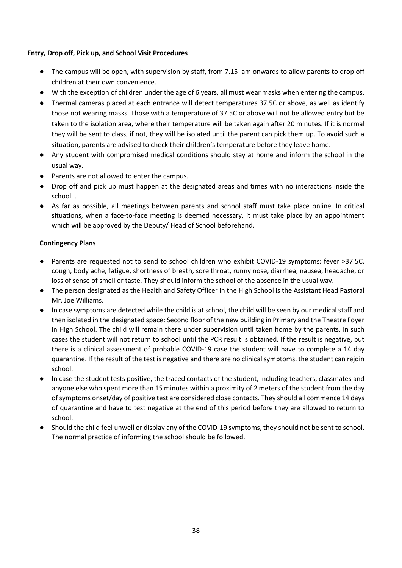#### **Entry, Drop off, Pick up, and School Visit Procedures**

- The campus will be open, with supervision by staff, from 7.15 am onwards to allow parents to drop off children at their own convenience.
- With the exception of children under the age of 6 years, all must wear masks when entering the campus.
- Thermal cameras placed at each entrance will detect temperatures 37.5C or above, as well as identify those not wearing masks. Those with a temperature of 37.5C or above will not be allowed entry but be taken to the isolation area, where their temperature will be taken again after 20 minutes. If it is normal they will be sent to class, if not, they will be isolated until the parent can pick them up. To avoid such a situation, parents are advised to check their children's temperature before they leave home.
- Any student with compromised medical conditions should stay at home and inform the school in the usual way.
- Parents are not allowed to enter the campus.
- Drop off and pick up must happen at the designated areas and times with no interactions inside the school. .
- As far as possible, all meetings between parents and school staff must take place online. In critical situations, when a face-to-face meeting is deemed necessary, it must take place by an appointment which will be approved by the Deputy/ Head of School beforehand.

#### **Contingency Plans**

- Parents are requested not to send to school children who exhibit COVID-19 symptoms: fever >37.5C, cough, body ache, fatigue, shortness of breath, sore throat, runny nose, diarrhea, nausea, headache, or loss of sense of smell or taste. They should inform the school of the absence in the usual way.
- The person designated as the Health and Safety Officer in the High School is the Assistant Head Pastoral Mr. Joe Williams.
- In case symptoms are detected while the child is at school, the child will be seen by our medical staff and then isolated in the designated space: Second floor of the new building in Primary and the Theatre Foyer in High School. The child will remain there under supervision until taken home by the parents. In such cases the student will not return to school until the PCR result is obtained. If the result is negative, but there is a clinical assessment of probable COVID-19 case the student will have to complete a 14 day quarantine. If the result of the test is negative and there are no clinical symptoms, the student can rejoin school.
- In case the student tests positive, the traced contacts of the student, including teachers, classmates and anyone else who spent more than 15 minutes within a proximity of 2 meters of the student from the day of symptoms onset/day of positive test are considered close contacts. They should all commence 14 days of quarantine and have to test negative at the end of this period before they are allowed to return to school.
- Should the child feel unwell or display any of the COVID-19 symptoms, they should not be sent to school. The normal practice of informing the school should be followed.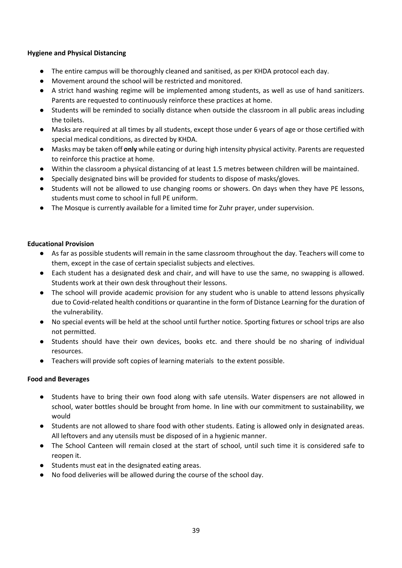#### **Hygiene and Physical Distancing**

- The entire campus will be thoroughly cleaned and sanitised, as per KHDA protocol each day.
- Movement around the school will be restricted and monitored.
- A strict hand washing regime will be implemented among students, as well as use of hand sanitizers. Parents are requested to continuously reinforce these practices at home.
- Students will be reminded to socially distance when outside the classroom in all public areas including the toilets.
- Masks are required at all times by all students, except those under 6 years of age or those certified with special medical conditions, as directed by KHDA.
- Masks may be taken off **only** while eating or during high intensity physical activity. Parents are requested to reinforce this practice at home.
- Within the classroom a physical distancing of at least 1.5 metres between children will be maintained.
- Specially designated bins will be provided for students to dispose of masks/gloves.
- Students will not be allowed to use changing rooms or showers. On days when they have PE lessons, students must come to school in full PE uniform.
- The Mosque is currently available for a limited time for Zuhr prayer, under supervision.

#### **Educational Provision**

- As far as possible students will remain in the same classroom throughout the day. Teachers will come to them, except in the case of certain specialist subjects and electives.
- Each student has a designated desk and chair, and will have to use the same, no swapping is allowed. Students work at their own desk throughout their lessons.
- The school will provide academic provision for any student who is unable to attend lessons physically due to Covid-related health conditions or quarantine in the form of Distance Learning for the duration of the vulnerability.
- No special events will be held at the school until further notice. Sporting fixtures or school trips are also not permitted.
- Students should have their own devices, books etc. and there should be no sharing of individual resources.
- Teachers will provide soft copies of learning materials to the extent possible.

#### **Food and Beverages**

- Students have to bring their own food along with safe utensils. Water dispensers are not allowed in school, water bottles should be brought from home. In line with our commitment to sustainability, we would
- Students are not allowed to share food with other students. Eating is allowed only in designated areas. All leftovers and any utensils must be disposed of in a hygienic manner.
- The School Canteen will remain closed at the start of school, until such time it is considered safe to reopen it.
- Students must eat in the designated eating areas.
- No food deliveries will be allowed during the course of the school day.